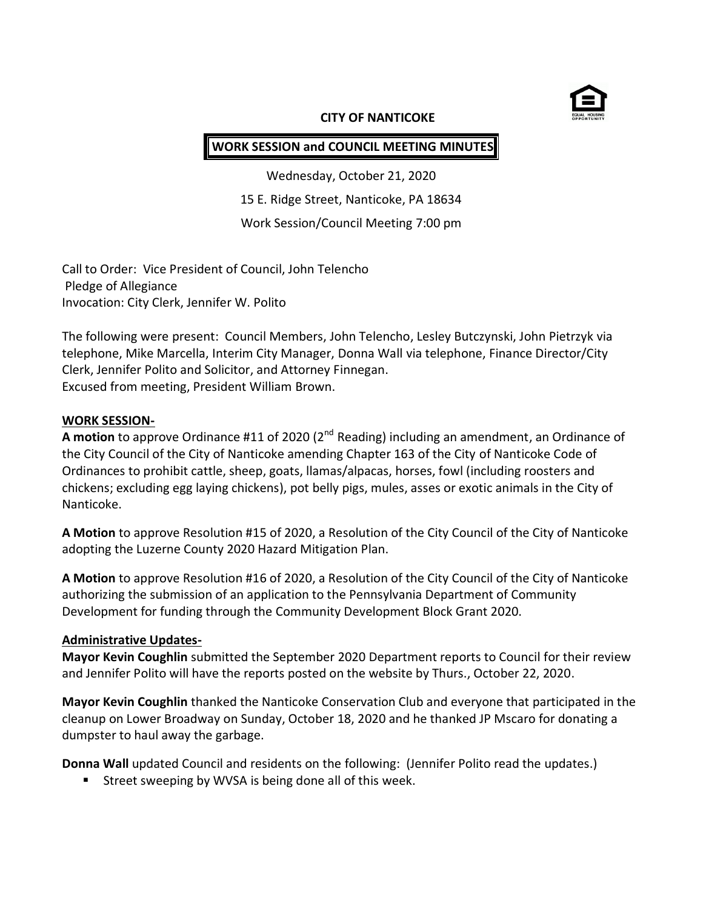

### **CITY OF NANTICOKE**

# **WORK SESSION and COUNCIL MEETING MINUTES**

Wednesday, October 21, 2020 15 E. Ridge Street, Nanticoke, PA 18634 Work Session/Council Meeting 7:00 pm

Call to Order: Vice President of Council, John Telencho Pledge of Allegiance Invocation: City Clerk, Jennifer W. Polito

The following were present: Council Members, John Telencho, Lesley Butczynski, John Pietrzyk via telephone, Mike Marcella, Interim City Manager, Donna Wall via telephone, Finance Director/City Clerk, Jennifer Polito and Solicitor, and Attorney Finnegan. Excused from meeting, President William Brown.

#### **WORK SESSION-**

**A motion** to approve Ordinance #11 of 2020 (2<sup>nd</sup> Reading) including an amendment, an Ordinance of the City Council of the City of Nanticoke amending Chapter 163 of the City of Nanticoke Code of Ordinances to prohibit cattle, sheep, goats, llamas/alpacas, horses, fowl (including roosters and chickens; excluding egg laying chickens), pot belly pigs, mules, asses or exotic animals in the City of Nanticoke.

**A Motion** to approve Resolution #15 of 2020, a Resolution of the City Council of the City of Nanticoke adopting the Luzerne County 2020 Hazard Mitigation Plan.

**A Motion** to approve Resolution #16 of 2020, a Resolution of the City Council of the City of Nanticoke authorizing the submission of an application to the Pennsylvania Department of Community Development for funding through the Community Development Block Grant 2020.

### **Administrative Updates-**

**Mayor Kevin Coughlin** submitted the September 2020 Department reports to Council for their review and Jennifer Polito will have the reports posted on the website by Thurs., October 22, 2020.

**Mayor Kevin Coughlin** thanked the Nanticoke Conservation Club and everyone that participated in the cleanup on Lower Broadway on Sunday, October 18, 2020 and he thanked JP Mscaro for donating a dumpster to haul away the garbage.

**Donna Wall** updated Council and residents on the following: (Jennifer Polito read the updates.)

**Street sweeping by WVSA is being done all of this week.**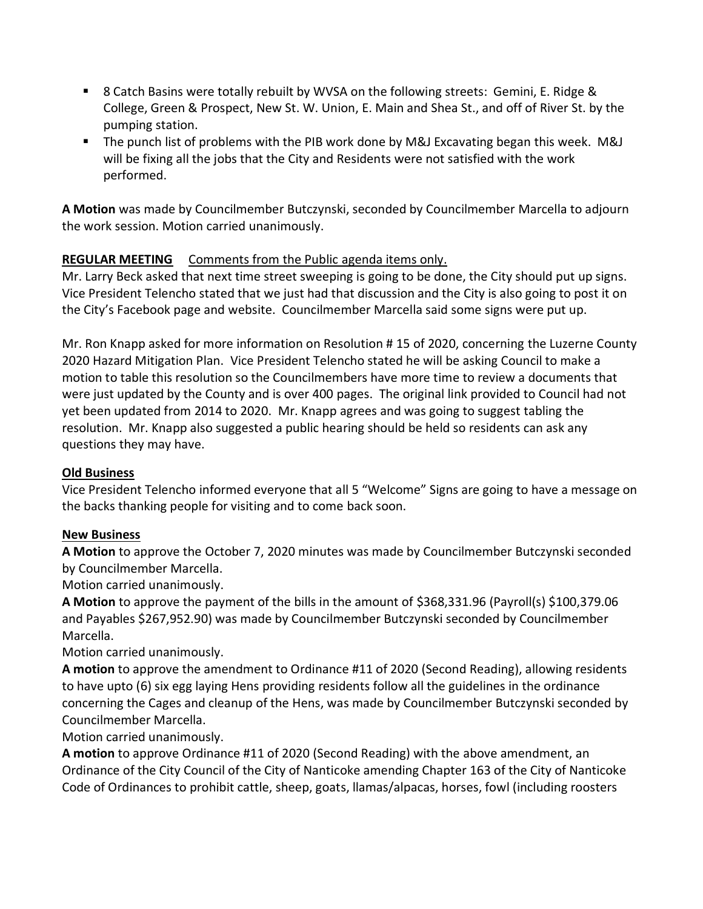- 8 Catch Basins were totally rebuilt by WVSA on the following streets: Gemini, E. Ridge & College, Green & Prospect, New St. W. Union, E. Main and Shea St., and off of River St. by the pumping station.
- The punch list of problems with the PIB work done by M&J Excavating began this week. M&J will be fixing all the jobs that the City and Residents were not satisfied with the work performed.

**A Motion** was made by Councilmember Butczynski, seconded by Councilmember Marcella to adjourn the work session. Motion carried unanimously.

# **REGULAR MEETING** Comments from the Public agenda items only.

Mr. Larry Beck asked that next time street sweeping is going to be done, the City should put up signs. Vice President Telencho stated that we just had that discussion and the City is also going to post it on the City's Facebook page and website. Councilmember Marcella said some signs were put up.

Mr. Ron Knapp asked for more information on Resolution # 15 of 2020, concerning the Luzerne County 2020 Hazard Mitigation Plan. Vice President Telencho stated he will be asking Council to make a motion to table this resolution so the Councilmembers have more time to review a documents that were just updated by the County and is over 400 pages. The original link provided to Council had not yet been updated from 2014 to 2020. Mr. Knapp agrees and was going to suggest tabling the resolution. Mr. Knapp also suggested a public hearing should be held so residents can ask any questions they may have.

# **Old Business**

Vice President Telencho informed everyone that all 5 "Welcome" Signs are going to have a message on the backs thanking people for visiting and to come back soon.

# **New Business**

**A Motion** to approve the October 7, 2020 minutes was made by Councilmember Butczynski seconded by Councilmember Marcella.

Motion carried unanimously.

**A Motion** to approve the payment of the bills in the amount of \$368,331.96 (Payroll(s) \$100,379.06 and Payables \$267,952.90) was made by Councilmember Butczynski seconded by Councilmember Marcella.

Motion carried unanimously.

**A motion** to approve the amendment to Ordinance #11 of 2020 (Second Reading), allowing residents to have upto (6) six egg laying Hens providing residents follow all the guidelines in the ordinance concerning the Cages and cleanup of the Hens, was made by Councilmember Butczynski seconded by Councilmember Marcella.

Motion carried unanimously.

**A motion** to approve Ordinance #11 of 2020 (Second Reading) with the above amendment, an Ordinance of the City Council of the City of Nanticoke amending Chapter 163 of the City of Nanticoke Code of Ordinances to prohibit cattle, sheep, goats, llamas/alpacas, horses, fowl (including roosters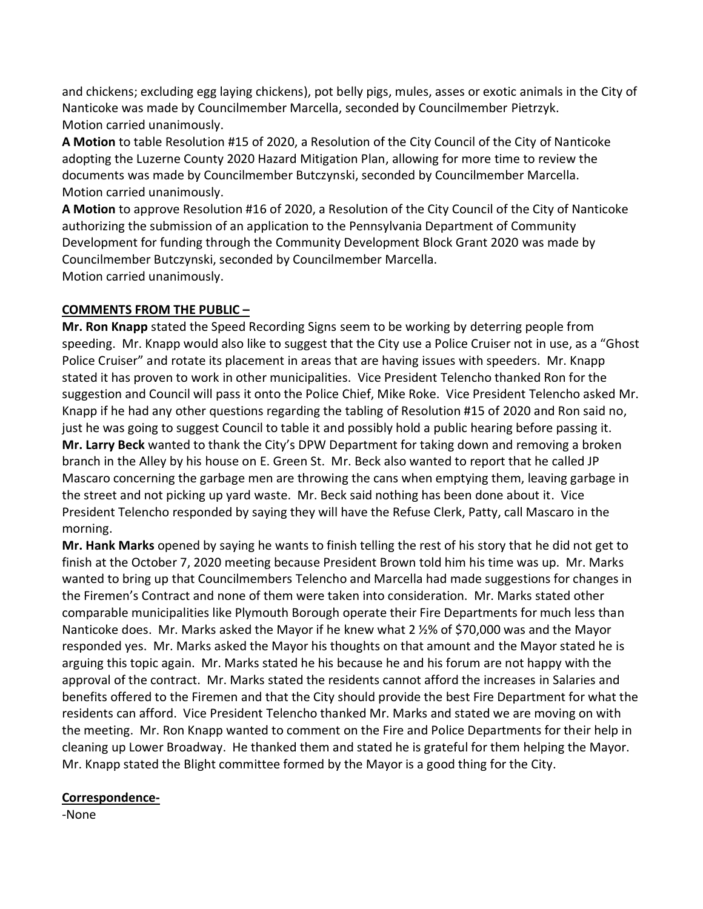and chickens; excluding egg laying chickens), pot belly pigs, mules, asses or exotic animals in the City of Nanticoke was made by Councilmember Marcella, seconded by Councilmember Pietrzyk. Motion carried unanimously.

**A Motion** to table Resolution #15 of 2020, a Resolution of the City Council of the City of Nanticoke adopting the Luzerne County 2020 Hazard Mitigation Plan, allowing for more time to review the documents was made by Councilmember Butczynski, seconded by Councilmember Marcella. Motion carried unanimously.

**A Motion** to approve Resolution #16 of 2020, a Resolution of the City Council of the City of Nanticoke authorizing the submission of an application to the Pennsylvania Department of Community Development for funding through the Community Development Block Grant 2020 was made by Councilmember Butczynski, seconded by Councilmember Marcella. Motion carried unanimously.

### **COMMENTS FROM THE PUBLIC –**

**Mr. Ron Knapp** stated the Speed Recording Signs seem to be working by deterring people from speeding. Mr. Knapp would also like to suggest that the City use a Police Cruiser not in use, as a "Ghost Police Cruiser" and rotate its placement in areas that are having issues with speeders. Mr. Knapp stated it has proven to work in other municipalities. Vice President Telencho thanked Ron for the suggestion and Council will pass it onto the Police Chief, Mike Roke. Vice President Telencho asked Mr. Knapp if he had any other questions regarding the tabling of Resolution #15 of 2020 and Ron said no, just he was going to suggest Council to table it and possibly hold a public hearing before passing it. **Mr. Larry Beck** wanted to thank the City's DPW Department for taking down and removing a broken branch in the Alley by his house on E. Green St. Mr. Beck also wanted to report that he called JP Mascaro concerning the garbage men are throwing the cans when emptying them, leaving garbage in the street and not picking up yard waste. Mr. Beck said nothing has been done about it. Vice President Telencho responded by saying they will have the Refuse Clerk, Patty, call Mascaro in the morning.

**Mr. Hank Marks** opened by saying he wants to finish telling the rest of his story that he did not get to finish at the October 7, 2020 meeting because President Brown told him his time was up. Mr. Marks wanted to bring up that Councilmembers Telencho and Marcella had made suggestions for changes in the Firemen's Contract and none of them were taken into consideration. Mr. Marks stated other comparable municipalities like Plymouth Borough operate their Fire Departments for much less than Nanticoke does. Mr. Marks asked the Mayor if he knew what 2 ½% of \$70,000 was and the Mayor responded yes. Mr. Marks asked the Mayor his thoughts on that amount and the Mayor stated he is arguing this topic again. Mr. Marks stated he his because he and his forum are not happy with the approval of the contract. Mr. Marks stated the residents cannot afford the increases in Salaries and benefits offered to the Firemen and that the City should provide the best Fire Department for what the residents can afford. Vice President Telencho thanked Mr. Marks and stated we are moving on with the meeting. Mr. Ron Knapp wanted to comment on the Fire and Police Departments for their help in cleaning up Lower Broadway. He thanked them and stated he is grateful for them helping the Mayor. Mr. Knapp stated the Blight committee formed by the Mayor is a good thing for the City.

### **Correspondence-**

-None